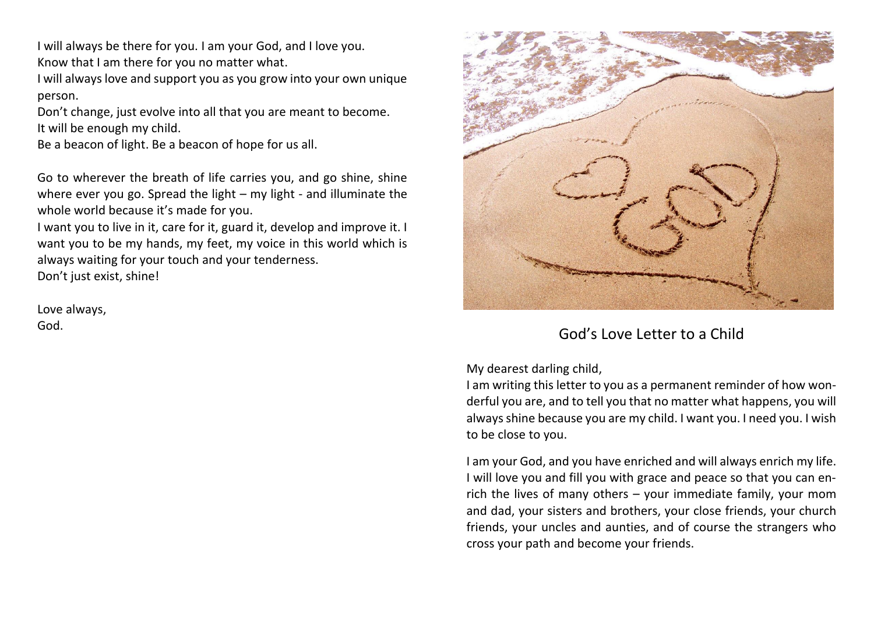I will always be there for you. I am your God, and I love you. Know that I am there for you no matter what.

I will always love and support you as you grow into your own unique person.

Don't change, just evolve into all that you are meant to become. It will be enough my child.

Be a beacon of light. Be a beacon of hope for us all.

Go to wherever the breath of life carries you, and go shine, shine where ever you go. Spread the light – my light - and illuminate the whole world because it's made for you.

I want you to live in it, care for it, guard it, develop and improve it. I want you to be my hands, my feet, my voice in this world which is always waiting for your touch and your tenderness. Don't just exist, shine!

Love always,



## God. God's Love Letter to a Child

My dearest darling child,

I am writing this letter to you as a permanent reminder of how wonderful you are, and to tell you that no matter what happens, you will always shine because you are my child. I want you. I need you. I wish to be close to you.

I am your God, and you have enriched and will always enrich my life. I will love you and fill you with grace and peace so that you can enrich the lives of many others – your immediate family, your mom and dad, your sisters and brothers, your close friends, your church friends, your uncles and aunties, and of course the strangers who cross your path and become your friends.